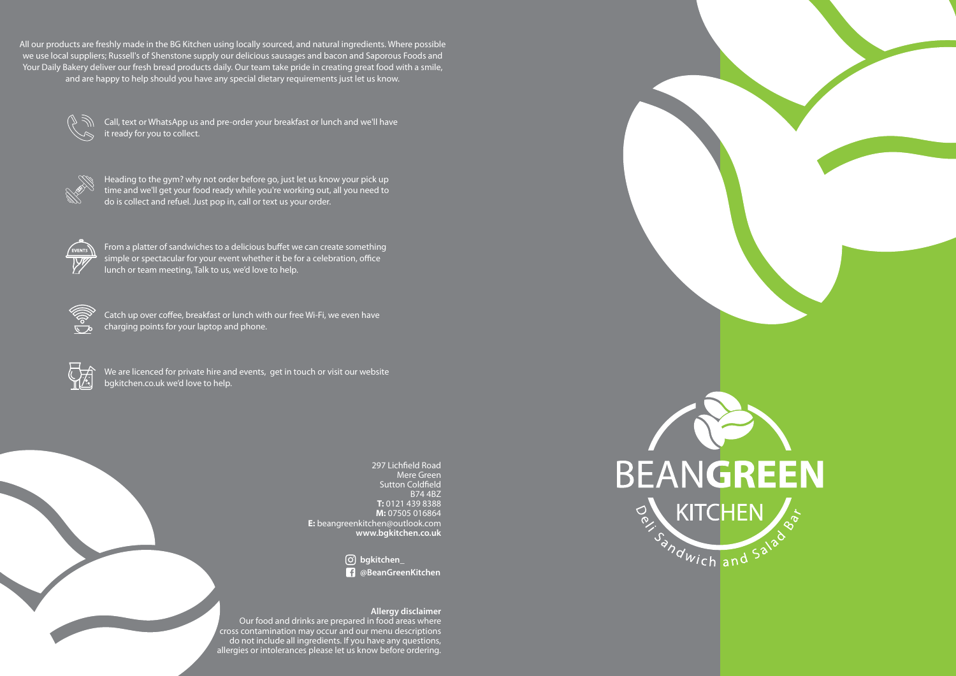All our products are freshly made in the BG Kitchen using locally sourced, and natural ingredients. Where possible we use local suppliers; Russell's of Shenstone supply our delicious sausages and bacon and Saporous Foods and Your Daily Bakery deliver our fresh bread products daily. Our team take pride in creating great food with a smile, and are happy to help should you have any special dietary requirements just let us know.

Call, text or WhatsApp us and pre-order your breakfast or lunch and we'll have it ready for you to collect.



Heading to the gym? why not order before go, just let us know your pick up time and we'll get your food ready while you're working out, all you need to do is collect and refuel. Just pop in, call or text us your order.



From a platter of sandwiches to a delicious buffet we can create something simple or spectacular for your event whether it be for a celebration, office lunch or team meeting, Talk to us, we'd love to help.



Catch up over coffee, breakfast or lunch with our free Wi-Fi, we even have charging points for your laptop and phone.



We are licenced for private hire and events, get in touch or visit our website bgkitchen.co.uk we'd love to help.

> 297 Lichfield Road Mere Green Sutton Coldfield B74 4BZ **T:** 0121 439 8388 **M:** 07505 016864 **E:** beangreenkitchen@outlook.com **www.bgkitchen.co.uk**

> > **bgkitchen\_ @BeanGreenKitchen**

#### **Allergy disclaimer**

Our food and drinks are prepared in food areas where cross contamination may occur and our menu descriptions do not include all ingredients. If you have any questions, allergies or intolerances please let us know before ordering.